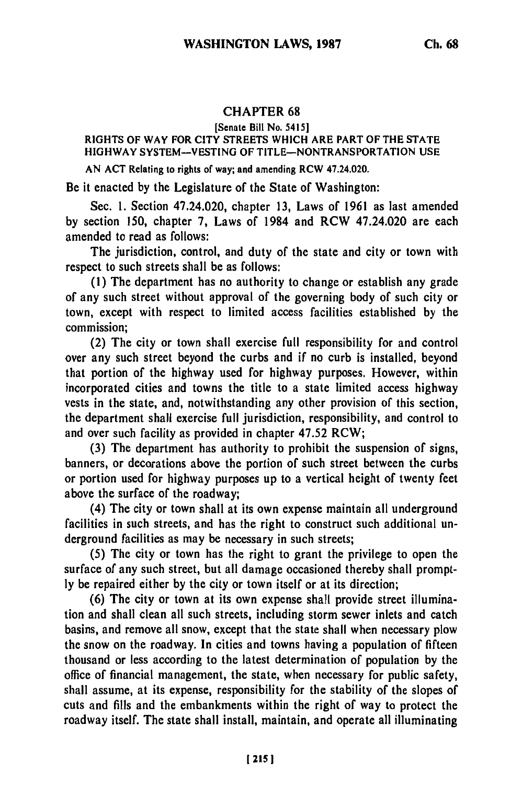## CHAPTER **68**

[Senate Bill No. 5415]

## RIGHTS OF WAY FOR CITY STREETS **WHICH** ARE PART OF THE **STATE** HIGHWAY **SYSTEM-VESTING** OF **TITLE-NONTRANSPORTATION USE**

**AN ACT** Relating **to rights** of **way;** and amending **RCW** 47.24.020.

Be it enacted **by** the Legislature of the State of Washington:

Sec. 1. Section 47.24.020, chapter **13,** Laws of 1961 as last amended by section 150, chapter **7,** Laws of 1984 and RCW 47.24.020 are each amended to read as follows:

The jurisdiction, control, and duty of the state and city or town with respect to such streets shall be as follows:

**(1)** The department has no authority to change or establish any grade of any such street without approval of the governing body of such city or town, except with respect to limited access facilities established by the commission;

(2) The city or town shall exercise full responsibility for and control over any such street beyond the curbs and if no curb is installed, beyond that portion of the highway used for highway purposes. However, within incorporated cities and towns the title to a state limited access highway vests in the state, and, notwithstanding any other provision of this section, the department shall exercise full jurisdiction, responsibility, and control to and over such facility as provided in chapter 47.52 RCW;

(3) The department has authority to prohibit the suspension of signs, banners, or decorations above the portion of such street between the curbs or portion used for highway purposes up to a vertical height of twenty feet above the surface of the roadway;

(4) The city or town shall at its own expense maintain all underground facilities in such streets, and has the right to construct such additional underground facilities as may be necessary in such streets;

**(5)** The city or town has the right to grant the privilege to open the surface of any such street, but all damage occasioned thereby shall prompt**ly** be repaired either **by** the city or town itself or at its direction;

**(6)** The city or town at its own expense shall provide street illumination and shall clean all such streets, including storm sewer inlets and catch basins, and remove all snow, except that the state shall when necessary plow the snow on the roadway. In cities and towns having a population of fifteen thousand or less according to the latest determination of population by the office of financial management, the state, when necessary for public safety, shall assume, at its expense, responsibility for the stability of the slopes of cuts and fills and the embankments within the right of way to protect the roadway itself. The state shall install, maintain, and operate all illuminating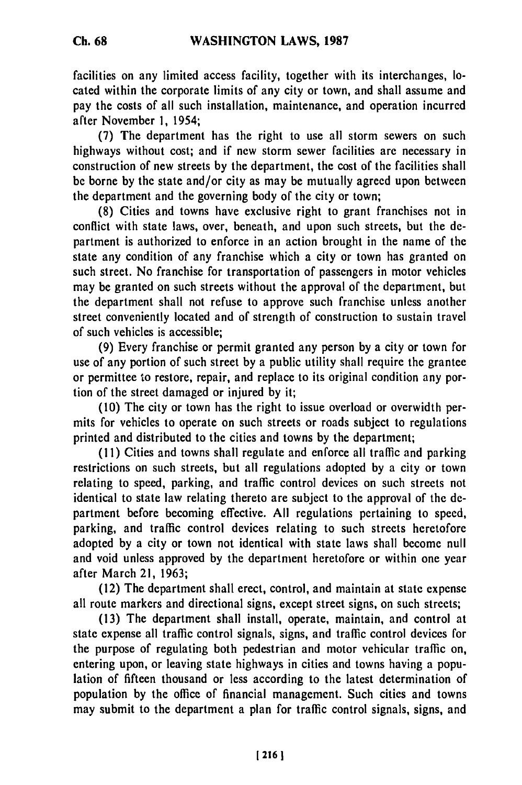facilities on any limited access facility, together with its interchanges, located within the corporate limits of any city or town, and shall assume and pay the costs of all such installation, maintenance, and operation incurred after November 1, 1954;

**(7)** The department has the right to use all storm sewers on such highways without cost; and if new storm sewer facilities are necessary in construction of new streets by the department, the cost of the facilities shall be borne by the state and/or city as may be mutually agreed upon between the department and the governing body of the city or town;

(8) Cities and towns have exclusive right to grant franchises not in conflict with state laws, over, beneath, and upon such streets, but the **de**partment is authorized to enforce in an action brought in the name of the state any condition of any franchise which a city or town has granted on such street. No franchise for transportation of passengers in motor vehicles may be granted on such streets without the approval of the department, but the department shall not refuse to approve such franchise unless another street conveniently located and of strength of construction to sustain travel of such vehicles is accessible;

(9) Every franchise or permit granted any person by a city or town for use of any portion of such street by a public utility shall require the grantee or permittee to restore, repair, and replace to its original condition any portion of the street damaged or injured by it;

(10) The city or town has the right to issue overload or overwidth permits for vehicles to operate on such streets or roads subject to regulations printed and distributed to the cities and towns by the department;

(11) Cities and towns shall regulate and enforce all traffic and parking restrictions on such streets, but all regulations adopted by a city or town relating to speed, parking, and traffic control devices on such streets not identical to state law relating thereto are subject to the approval of the department before becoming effective. All regulations pertaining to speed, parking, and traffic control devices relating to such streets heretofore adopted by a city or town not identical with state laws shall become null and void unless approved by the department heretofore or within one year after March 21, **1963;**

(12) The department shall erect, control, and maintain at state expense all route markers and directional signs, except street signs, on such streets;

(13) The department shall install, operate, maintain, and control at state expense all traffic control signals, signs, and traffic control devices for the purpose of regulating both pedestrian and motor vehicular traffic on, entering upon, or leaving state highways in cities and towns having a population of fifteen thousand or less according to the latest determination of population by the office of financial management. Such cities and towns may submit to the department a plan for traffic control signals, signs, and